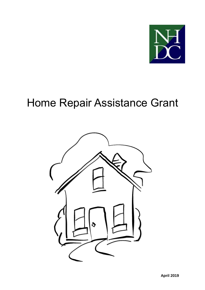

# Home Repair Assistance Grant

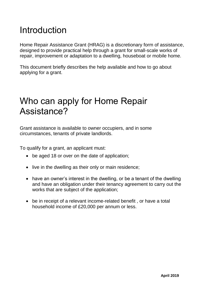# Introduction

Home Repair Assistance Grant (HRAG) is a discretionary form of assistance, designed to provide practical help through a grant for small-scale works of repair, improvement or adaptation to a dwelling, houseboat or mobile home.

This document briefly describes the help available and how to go about applying for a grant.

#### Who can apply for Home Repair Assistance?

Grant assistance is available to owner occupiers, and in some circumstances, tenants of private landlords.

To qualify for a grant, an applicant must:

- be aged 18 or over on the date of application;
- live in the dwelling as their only or main residence;
- have an owner's interest in the dwelling, or be a tenant of the dwelling and have an obligation under their tenancy agreement to carry out the works that are subject of the application;
- be in receipt of a relevant income-related benefit, or have a total household income of £20,000 per annum or less.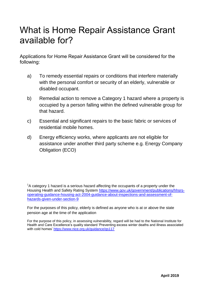### What is Home Repair Assistance Grant available for?

Applications for Home Repair Assistance Grant will be considered for the following:

- a) To remedy essential repairs or conditions that interfere materially with the personal comfort or security of an elderly, vulnerable or disabled occupant.
- b) Remedial action to remove a Category 1 hazard where a property is occupied by a person falling within the defined vulnerable group for that hazard.
- c) Essential and significant repairs to the basic fabric or services of residential mobile homes.
- d) Energy efficiency works, where applicants are not eligible for assistance under another third party scheme e.g. Energy Company Obligation (ECO)

 $1A$  category 1 hazard is a serious hazard affecting the occupants of a property under the Housing Health and Safety Rating System [https://www.gov.uk/government/publications/hhsrs](https://www.gov.uk/government/publications/hhsrs-operating-guidance-housing-act-2004-guidance-about-inspections-and-assessment-of-hazards-given-under-section-9)[operating-guidance-housing-act-2004-guidance-about-inspections-and-assessment-of](https://www.gov.uk/government/publications/hhsrs-operating-guidance-housing-act-2004-guidance-about-inspections-and-assessment-of-hazards-given-under-section-9)[hazards-given-under-section-9](https://www.gov.uk/government/publications/hhsrs-operating-guidance-housing-act-2004-guidance-about-inspections-and-assessment-of-hazards-given-under-section-9)

For the purposes of this policy, elderly is defined as anyone who is at or above the state pension age at the time of the application

For the purpose of this policy, in assessing vulnerability, regard will be had to the National Institute for Health and Care Excellence's quality standard 'Preventing excess winter deaths and illness associated with cold homes'<https://www.nice.org.uk/guidance/qs117>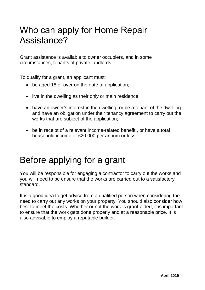### Who can apply for Home Repair Assistance?

Grant assistance is available to owner occupiers, and in some circumstances, tenants of private landlords.

To qualify for a grant, an applicant must:

- be aged 18 or over on the date of application;
- live in the dwelling as their only or main residence:
- have an owner's interest in the dwelling, or be a tenant of the dwelling and have an obligation under their tenancy agreement to carry out the works that are subject of the application;
- be in receipt of a relevant income-related benefit , or have a total household income of £20,000 per annum or less.

# Before applying for a grant

You will be responsible for engaging a contractor to carry out the works and you will need to be ensure that the works are carried out to a satisfactory standard.

It is a good idea to get advice from a qualified person when considering the need to carry out any works on your property. You should also consider how best to meet the costs. Whether or not the work is grant-aided, it is important to ensure that the work gets done properly and at a reasonable price. It is also advisable to employ a reputable builder.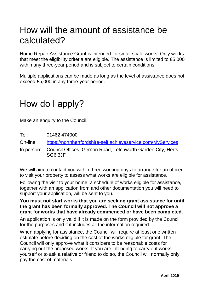### How will the amount of assistance be calculated?

Home Repair Assistance Grant is intended for small-scale works. Only works that meet the eligibility criteria are eligible. The assistance is limited to £5,000 within any three-year period and is subject to certain conditions.

Multiple applications can be made as long as the level of assistance does not exceed £5,000 in any three-year period.

### How do I apply?

Make an enquiry to the Council:

Tel: 01462 474000

On-line: <https://northhertfordshire-self.achieveservice.com/MyServices>

In person: Council Offices, Gernon Road, Letchworth Garden City, Herts SG6 3JF

We will aim to contact you within three working days to arrange for an officer to visit your property to assess what works are eligible for assistance.

Following the visit to your home, a schedule of works eligible for assistance, together with an application from and other documentation you will need to support your application, will be sent to you.

#### **You must not start works that you are seeking grant assistance for until the grant has been formally approved. The Council will not approve a grant for works that have already commenced or have been completed.**

An application is only valid if it is made on the form provided by the Council for the purposes and if it includes all the information required.

When applying for assistance, the Council will require at least one written estimate before deciding on the cost of the works eligible for grant. The Council will only approve what it considers to be reasonable costs for carrying out the proposed works. If you are intending to carry out works yourself or to ask a relative or friend to do so, the Council will normally only pay the cost of materials.